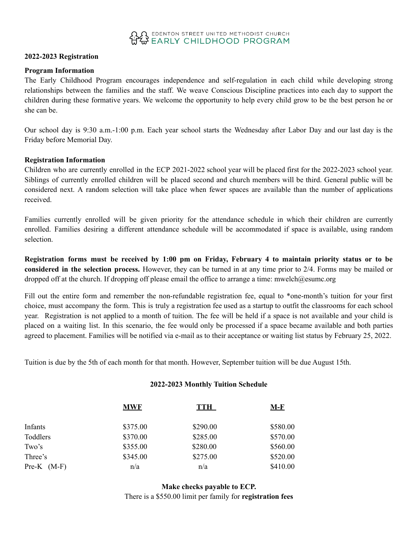# O EDENTON STREET UNITED METHODIST CHURCH

#### **2022-2023 Registration**

#### **Program Information**

The Early Childhood Program encourages independence and self-regulation in each child while developing strong relationships between the families and the staff. We weave Conscious Discipline practices into each day to support the children during these formative years. We welcome the opportunity to help every child grow to be the best person he or she can be.

Our school day is 9:30 a.m.-1:00 p.m. Each year school starts the Wednesday after Labor Day and our last day is the Friday before Memorial Day.

#### **Registration Information**

Children who are currently enrolled in the ECP 2021-2022 school year will be placed first for the 2022-2023 school year. Siblings of currently enrolled children will be placed second and church members will be third. General public will be considered next. A random selection will take place when fewer spaces are available than the number of applications received.

Families currently enrolled will be given priority for the attendance schedule in which their children are currently enrolled. Families desiring a different attendance schedule will be accommodated if space is available, using random selection.

Registration forms must be received by 1:00 pm on Friday, February 4 to maintain priority status or to be **considered in the selection process.** However, they can be turned in at any time prior to 2/4. Forms may be mailed or dropped off at the church. If dropping off please email the office to arrange a time: mwelch@esumc.org

Fill out the entire form and remember the non-refundable registration fee, equal to \*one-month's tuition for your first choice, must accompany the form. This is truly a registration fee used as a startup to outfit the classrooms for each school year. Registration is not applied to a month of tuition. The fee will be held if a space is not available and your child is placed on a waiting list. In this scenario, the fee would only be processed if a space became available and both parties agreed to placement. Families will be notified via e-mail as to their acceptance or waiting list status by February 25, 2022.

Tuition is due by the 5th of each month for that month. However, September tuition will be due August 15th.

#### **2022-2023 Monthly Tuition Schedule**

|                 | <b>MWF</b> | <b>TTH</b> | <u>M-F</u> |
|-----------------|------------|------------|------------|
| Infants         | \$375.00   | \$290.00   | \$580.00   |
| Toddlers        | \$370.00   | \$285.00   | \$570.00   |
| Two's           | \$355.00   | \$280.00   | \$560.00   |
| Three's         | \$345.00   | \$275.00   | \$520.00   |
| $Pre-K$ $(M-F)$ | n/a        | n/a        | \$410.00   |

**Make checks payable to ECP.** There is a \$550.00 limit per family for **registration fees**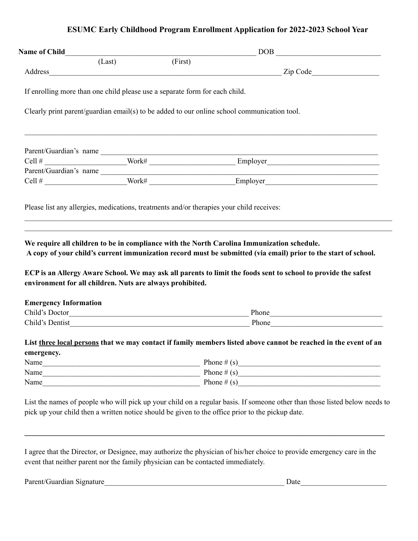## **ESUMC Early Childhood Program Enrollment Application for 2022-2023 School Year**

|                                            | (Last) |                                                                                          |                                                                                                                                                                                                                                |
|--------------------------------------------|--------|------------------------------------------------------------------------------------------|--------------------------------------------------------------------------------------------------------------------------------------------------------------------------------------------------------------------------------|
|                                            |        | (First)                                                                                  |                                                                                                                                                                                                                                |
|                                            |        |                                                                                          |                                                                                                                                                                                                                                |
|                                            |        | If enrolling more than one child please use a separate form for each child.              |                                                                                                                                                                                                                                |
|                                            |        |                                                                                          | Clearly print parent/guardian email(s) to be added to our online school communication tool.                                                                                                                                    |
|                                            |        |                                                                                          |                                                                                                                                                                                                                                |
|                                            |        |                                                                                          |                                                                                                                                                                                                                                |
|                                            |        |                                                                                          |                                                                                                                                                                                                                                |
|                                            |        |                                                                                          |                                                                                                                                                                                                                                |
|                                            |        | Please list any allergies, medications, treatments and/or therapies your child receives: | <u> 1990 - Johann Stoff, deutscher Stoffen und der Stoffen und der Stoffen und der Stoffen und der Stoffen und de</u>                                                                                                          |
|                                            |        | environment for all children. Nuts are always prohibited.                                | ECP is an Allergy Aware School. We may ask all parents to limit the foods sent to school to provide the safest                                                                                                                 |
|                                            |        |                                                                                          |                                                                                                                                                                                                                                |
|                                            |        |                                                                                          |                                                                                                                                                                                                                                |
|                                            |        |                                                                                          |                                                                                                                                                                                                                                |
|                                            |        |                                                                                          | List three local persons that we may contact if family members listed above cannot be reached in the event of an                                                                                                               |
|                                            |        |                                                                                          |                                                                                                                                                                                                                                |
|                                            |        |                                                                                          |                                                                                                                                                                                                                                |
|                                            |        |                                                                                          |                                                                                                                                                                                                                                |
|                                            |        |                                                                                          |                                                                                                                                                                                                                                |
| <b>Emergency Information</b><br>emergency. |        |                                                                                          | List the names of people who will pick up your child on a regular basis. If someone other than those listed below needs to<br>pick up your child then a written notice should be given to the office prior to the pickup date. |

Parent/Guardian Signature\_\_\_\_\_\_\_\_\_\_\_\_\_\_\_\_\_\_\_\_\_\_\_\_\_\_\_\_\_\_\_\_\_\_\_\_\_\_\_\_\_\_\_\_\_\_\_\_ Date\_\_\_\_\_\_\_\_\_\_\_\_\_\_\_\_\_\_\_\_\_\_\_